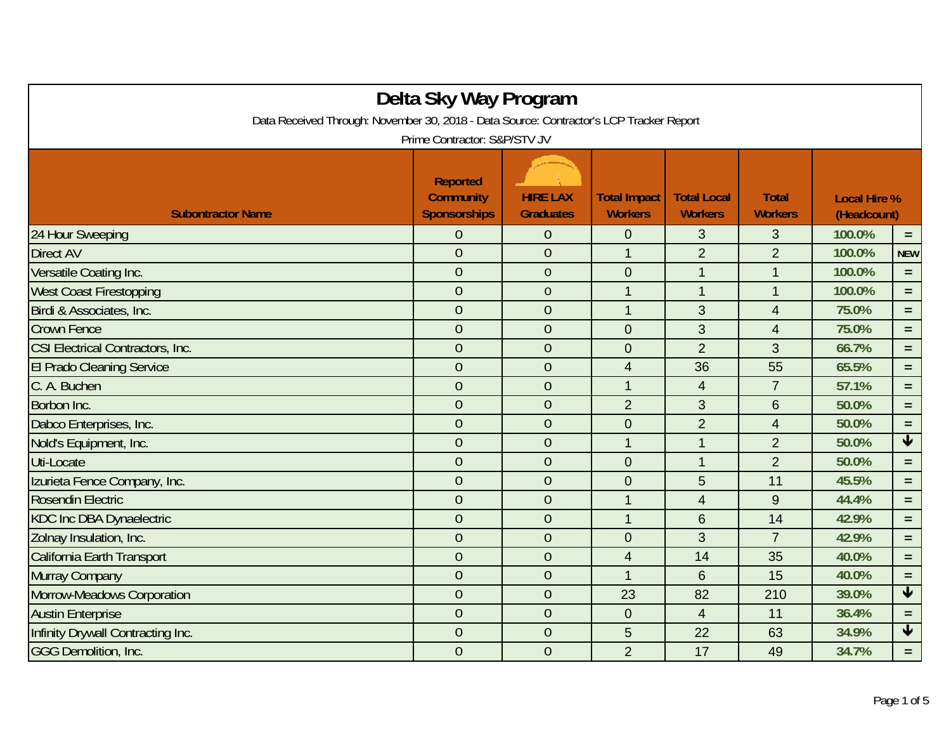| Delta Sky Way Program<br>Data Received Through: November 30, 2018 - Data Source: Contractor's LCP Tracker Report |                                                                                            |                                     |                                       |                                      |                                |                                    |                         |  |
|------------------------------------------------------------------------------------------------------------------|--------------------------------------------------------------------------------------------|-------------------------------------|---------------------------------------|--------------------------------------|--------------------------------|------------------------------------|-------------------------|--|
| <b>Subontractor Name</b>                                                                                         | Prime Contractor: S&P/STV JV<br><b>Reported</b><br><b>Community</b><br><b>Sponsorships</b> | <b>HIRE LAX</b><br><b>Graduates</b> | <b>Total Impact</b><br><b>Workers</b> | <b>Total Local</b><br><b>Workers</b> | <b>Total</b><br><b>Workers</b> | <b>Local Hire %</b><br>(Headcount) |                         |  |
| 24 Hour Sweeping                                                                                                 | $\overline{0}$                                                                             | $\theta$                            | $\boldsymbol{0}$                      | 3                                    | 3                              | 100.0%                             | $\equiv$                |  |
| <b>Direct AV</b>                                                                                                 | $\overline{0}$                                                                             | $\overline{0}$                      | $\mathbf{1}$                          | $\overline{2}$                       | $\overline{2}$                 | 100.0%                             | <b>NEW</b>              |  |
| Versatile Coating Inc.                                                                                           | $\overline{0}$                                                                             | $\overline{0}$                      | $\mathbf 0$                           | $\mathbf{1}$                         | $\mathbf 1$                    | 100.0%                             | $\equiv$                |  |
| West Coast Firestopping                                                                                          | $\overline{0}$                                                                             | $\overline{0}$                      | $\overline{1}$                        | $\mathbf{1}$                         | $\mathbf 1$                    | 100.0%                             | $=$                     |  |
| Birdi & Associates, Inc.                                                                                         | $\overline{0}$                                                                             | $\overline{0}$                      | $\mathbf{1}$                          | 3                                    | $\overline{4}$                 | 75.0%                              | $=$                     |  |
| <b>Crown Fence</b>                                                                                               | $\overline{0}$                                                                             | $\overline{0}$                      | $\overline{0}$                        | 3                                    | $\overline{4}$                 | 75.0%                              | $=$                     |  |
| CSI Electrical Contractors, Inc.                                                                                 | $\overline{0}$                                                                             | $\theta$                            | $\mathbf 0$                           | $\overline{2}$                       | 3                              | 66.7%                              | $=$                     |  |
| <b>El Prado Cleaning Service</b>                                                                                 | $\overline{0}$                                                                             | $\theta$                            | $\overline{4}$                        | 36                                   | 55                             | 65.5%                              | $=$                     |  |
| C. A. Buchen                                                                                                     | $\overline{0}$                                                                             | $\overline{0}$                      | $\mathbf{1}$                          | $\overline{4}$                       | $\overline{7}$                 | 57.1%                              | $=$                     |  |
| Borbon Inc.                                                                                                      | $\overline{0}$                                                                             | $\overline{0}$                      | $\overline{2}$                        | 3                                    | 6                              | 50.0%                              | $\equiv$                |  |
| Dabco Enterprises, Inc.                                                                                          | $\overline{0}$                                                                             | $\overline{0}$                      | $\mathbf 0$                           | $\overline{2}$                       | $\overline{4}$                 | 50.0%                              | $=$                     |  |
| Nold's Equipment, Inc.                                                                                           | $\overline{0}$                                                                             | $\overline{0}$                      | $\mathbf{1}$                          | $\mathbf{1}$                         | $\overline{2}$                 | 50.0%                              | $\overline{\textbf{t}}$ |  |
| Uti-Locate                                                                                                       | $\overline{0}$                                                                             | $\overline{0}$                      | $\mathbf 0$                           | $\mathbf{1}$                         | $\overline{2}$                 | 50.0%                              | $=$                     |  |
| Izurieta Fence Company, Inc.                                                                                     | $\overline{0}$                                                                             | $\overline{0}$                      | $\mathbf 0$                           | 5                                    | 11                             | 45.5%                              | $=$                     |  |
| Rosendin Electric                                                                                                | $\overline{0}$                                                                             | $\overline{0}$                      | $\mathbf{1}$                          | $\overline{4}$                       | 9                              | 44.4%                              | $\equiv$                |  |
| <b>KDC Inc DBA Dynaelectric</b>                                                                                  | $\overline{0}$                                                                             | $\theta$                            | $\mathbf{1}$                          | $6\phantom{1}$                       | 14                             | 42.9%                              | $=$                     |  |
| Zolnay Insulation, Inc.                                                                                          | $\overline{0}$                                                                             | $\overline{0}$                      | $\mathbf 0$                           | 3                                    | $\overline{7}$                 | 42.9%                              | $=$                     |  |
| California Earth Transport                                                                                       | $\overline{0}$                                                                             | $\overline{0}$                      | $\overline{4}$                        | 14                                   | 35                             | 40.0%                              | $\equiv$                |  |
| Murray Company                                                                                                   | $\overline{0}$                                                                             | $\overline{0}$                      | $\overline{1}$                        | 6                                    | 15                             | 40.0%                              | $=$                     |  |
| Morrow-Meadows Corporation                                                                                       | $\overline{0}$                                                                             | $\overline{0}$                      | 23                                    | 82                                   | 210                            | 39.0%                              | $\blacktriangledown$    |  |
| <b>Austin Enterprise</b>                                                                                         | $\overline{0}$                                                                             | $\overline{0}$                      | $\boldsymbol{0}$                      | $\overline{4}$                       | 11                             | 36.4%                              | $=$                     |  |
| Infinity Drywall Contracting Inc.                                                                                | $\overline{0}$                                                                             | $\overline{0}$                      | 5                                     | 22                                   | 63                             | 34.9%                              | $\blacklozenge$         |  |
| <b>GGG Demolition, Inc.</b>                                                                                      | $\overline{0}$                                                                             | $\overline{0}$                      | $\overline{2}$                        | 17                                   | 49                             | 34.7%                              | $=$                     |  |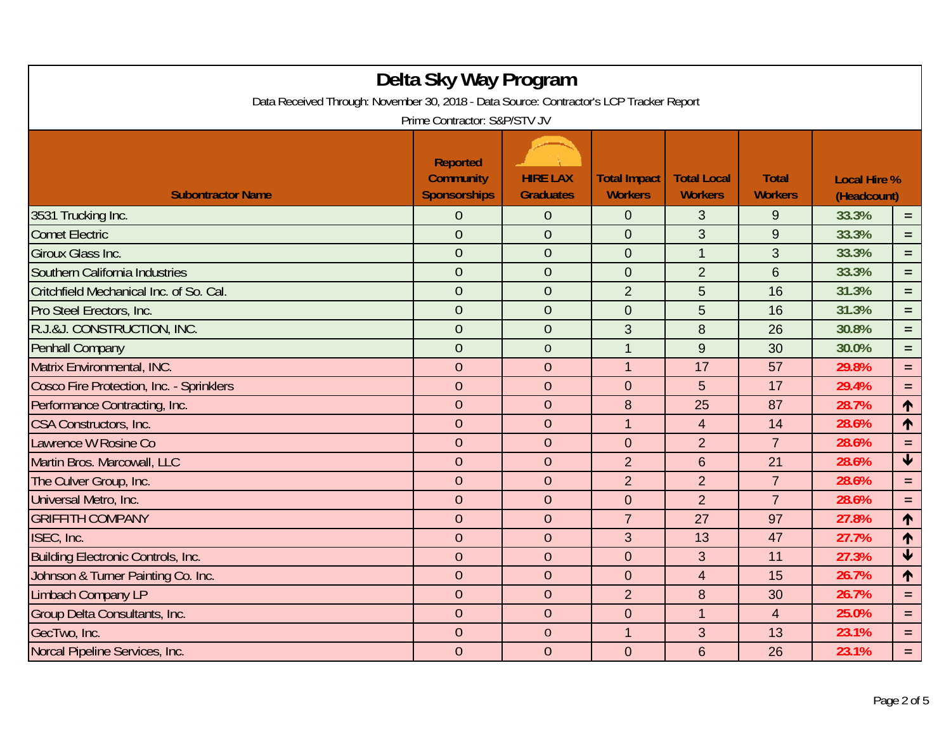| Delta Sky Way Program<br>Data Received Through: November 30, 2018 - Data Source: Contractor's LCP Tracker Report<br>Prime Contractor: S&P/STV JV |                                                            |                                     |                                       |                                      |                                |                                    |                         |  |
|--------------------------------------------------------------------------------------------------------------------------------------------------|------------------------------------------------------------|-------------------------------------|---------------------------------------|--------------------------------------|--------------------------------|------------------------------------|-------------------------|--|
| <b>Subontractor Name</b>                                                                                                                         | <b>Reported</b><br><b>Community</b><br><b>Sponsorships</b> | <b>HIRE LAX</b><br><b>Graduates</b> | <b>Total Impact</b><br><b>Workers</b> | <b>Total Local</b><br><b>Workers</b> | <b>Total</b><br><b>Workers</b> | <b>Local Hire %</b><br>(Headcount) |                         |  |
| 3531 Trucking Inc.                                                                                                                               | 0                                                          | $\theta$                            | $\mathbf{0}$                          | 3                                    | 9                              | 33.3%                              | $=$                     |  |
| <b>Comet Electric</b>                                                                                                                            | $\overline{0}$                                             | $\overline{0}$                      | $\mathbf 0$                           | 3                                    | 9                              | 33.3%                              | $=$                     |  |
| <b>Giroux Glass Inc.</b>                                                                                                                         | $\overline{0}$                                             | $\overline{0}$                      | $\mathbf 0$                           | $\mathbf{1}$                         | 3                              | 33.3%                              | $=$                     |  |
| Southern California Industries                                                                                                                   | $\overline{0}$                                             | $\theta$                            | $\boldsymbol{0}$                      | $\overline{2}$                       | $6\phantom{1}6$                | 33.3%                              | $=$                     |  |
| Critchfield Mechanical Inc. of So. Cal.                                                                                                          | $\overline{0}$                                             | $\overline{0}$                      | $\overline{2}$                        | 5                                    | 16                             | 31.3%                              | $=$                     |  |
| Pro Steel Erectors, Inc.                                                                                                                         | $\overline{0}$                                             | $\theta$                            | $\mathbf 0$                           | 5                                    | 16                             | 31.3%                              | $\equiv$                |  |
| R.J.&J. CONSTRUCTION, INC.                                                                                                                       | $\overline{0}$                                             | $\overline{0}$                      | 3                                     | 8                                    | 26                             | 30.8%                              | $=$                     |  |
| Penhall Company                                                                                                                                  | $\overline{0}$                                             | $\overline{0}$                      | $\mathbf{1}$                          | 9                                    | 30                             | 30.0%                              | $=$                     |  |
| Matrix Environmental, INC.                                                                                                                       | $\overline{0}$                                             | $\theta$                            | $\mathbf{1}$                          | 17                                   | 57                             | 29.8%                              | $=$                     |  |
| Cosco Fire Protection, Inc. - Sprinklers                                                                                                         | $\overline{0}$                                             | $\theta$                            | $\mathbf 0$                           | $5\phantom{.}$                       | 17                             | 29.4%                              | $=$                     |  |
| Performance Contracting, Inc.                                                                                                                    | $\overline{0}$                                             | $\overline{0}$                      | 8                                     | 25                                   | 87                             | 28.7%                              | ↑                       |  |
| <b>CSA Constructors, Inc.</b>                                                                                                                    | $\overline{0}$                                             | $\theta$                            | $\overline{1}$                        | $\overline{4}$                       | 14                             | 28.6%                              | $\uparrow$              |  |
| Lawrence W Rosine Co                                                                                                                             | $\overline{0}$                                             | $\overline{0}$                      | $\overline{0}$                        | $\overline{2}$                       | $\overline{7}$                 | 28.6%                              | $\equiv$                |  |
| Martin Bros. Marcowall, LLC                                                                                                                      | $\overline{0}$                                             | $\theta$                            | $\overline{2}$                        | $6\phantom{1}$                       | 21                             | 28.6%                              | $\blacklozenge$         |  |
| The Culver Group, Inc.                                                                                                                           | $\overline{0}$                                             | $\overline{0}$                      | $\overline{2}$                        | $\overline{2}$                       | $\overline{7}$                 | 28.6%                              | $\equiv$                |  |
| Universal Metro, Inc.                                                                                                                            | $\overline{0}$                                             | $\theta$                            | $\mathbf 0$                           | $\overline{2}$                       | $\overline{7}$                 | 28.6%                              | $=$                     |  |
| <b>GRIFFITH COMPANY</b>                                                                                                                          | $\overline{0}$                                             | $\overline{0}$                      | $\overline{7}$                        | 27                                   | 97                             | 27.8%                              | $\uparrow$              |  |
| ISEC, Inc.                                                                                                                                       | $\overline{0}$                                             | $\theta$                            | 3                                     | 13                                   | 47                             | 27.7%                              | ↑                       |  |
| Building Electronic Controls, Inc.                                                                                                               | $\overline{0}$                                             | $\overline{0}$                      | $\mathbf 0$                           | 3                                    | 11                             | 27.3%                              | $\overline{\mathbf{V}}$ |  |
| Johnson & Turner Painting Co. Inc.                                                                                                               | $\overline{0}$                                             | $\overline{0}$                      | $\mathbf 0$                           | $\overline{4}$                       | 15                             | 26.7%                              | $\uparrow$              |  |
| Limbach Company LP                                                                                                                               | $\theta$                                                   | $\theta$                            | $\overline{2}$                        | 8                                    | 30                             | 26.7%                              | $=$                     |  |
| Group Delta Consultants, Inc.                                                                                                                    | $\overline{0}$                                             | $\theta$                            | $\mathbf 0$                           | $\overline{1}$                       | $\overline{4}$                 | 25.0%                              | $=$ $\,$                |  |
| GecTwo, Inc.                                                                                                                                     | $\overline{0}$                                             | $\theta$                            | $\overline{1}$                        | 3                                    | 13                             | 23.1%                              | $\equiv$                |  |
| Norcal Pipeline Services, Inc.                                                                                                                   | $\overline{0}$                                             | $\overline{0}$                      | $\mathbf 0$                           | $6\phantom{1}$                       | 26                             | 23.1%                              | $=$                     |  |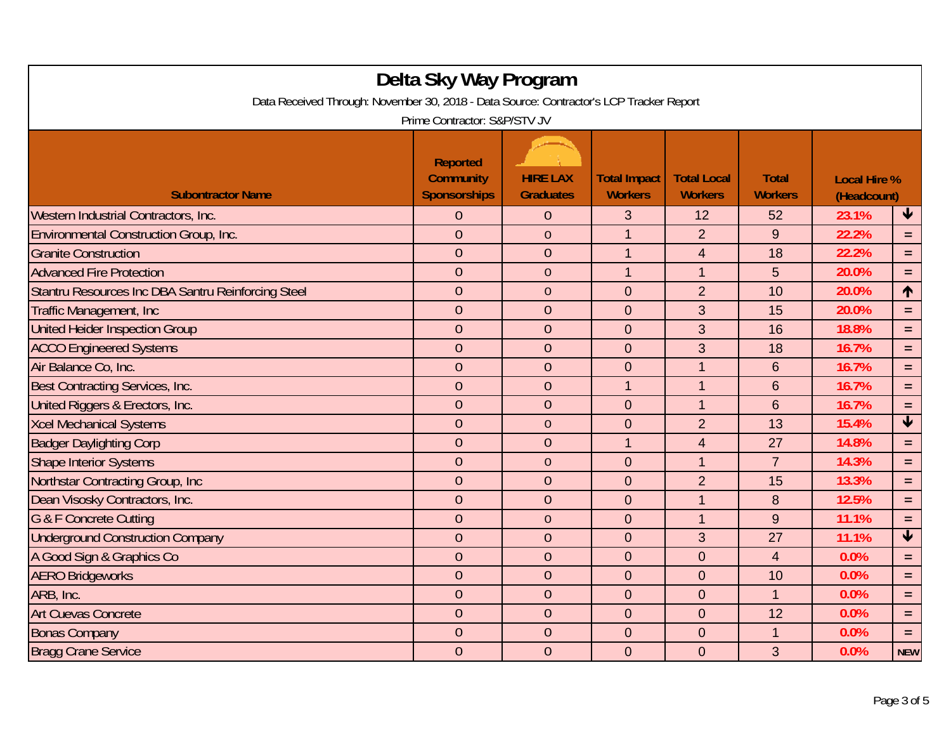| Delta Sky Way Program<br>Data Received Through: November 30, 2018 - Data Source: Contractor's LCP Tracker Report<br>Prime Contractor: S&P/STV JV |                                                            |                                     |                                       |                                      |                                |                                    |                         |  |
|--------------------------------------------------------------------------------------------------------------------------------------------------|------------------------------------------------------------|-------------------------------------|---------------------------------------|--------------------------------------|--------------------------------|------------------------------------|-------------------------|--|
| <b>Subontractor Name</b>                                                                                                                         | <b>Reported</b><br><b>Community</b><br><b>Sponsorships</b> | <b>HIRE LAX</b><br><b>Graduates</b> | <b>Total Impact</b><br><b>Workers</b> | <b>Total Local</b><br><b>Workers</b> | <b>Total</b><br><b>Workers</b> | <b>Local Hire %</b><br>(Headcount) |                         |  |
| Western Industrial Contractors, Inc.                                                                                                             | 0                                                          | $\theta$                            | 3                                     | 12                                   | 52                             | 23.1%                              | $\downarrow$            |  |
| <b>Environmental Construction Group, Inc.</b>                                                                                                    | $\overline{0}$                                             | $\overline{0}$                      | $\mathbf{1}$                          | $\overline{2}$                       | 9                              | 22.2%                              | $=$                     |  |
| <b>Granite Construction</b>                                                                                                                      | $\overline{0}$                                             | $\overline{0}$                      | $\overline{1}$                        | $\overline{4}$                       | 18                             | 22.2%                              | $\equiv$                |  |
| <b>Advanced Fire Protection</b>                                                                                                                  | $\theta$                                                   | $\theta$                            | $\mathbf{1}$                          | $\mathbf{1}$                         | 5                              | 20.0%                              | $=$                     |  |
| Stantru Resources Inc DBA Santru Reinforcing Steel                                                                                               | $\theta$                                                   | $\theta$                            | $\overline{0}$                        | $\overline{2}$                       | 10                             | 20.0%                              | $\uparrow$              |  |
| <b>Traffic Management, Inc.</b>                                                                                                                  | $\overline{0}$                                             | $\overline{0}$                      | $\overline{0}$                        | 3                                    | 15                             | 20.0%                              | $\equiv$                |  |
| <b>United Heider Inspection Group</b>                                                                                                            | $\overline{0}$                                             | $\theta$                            | $\mathbf 0$                           | 3                                    | 16                             | 18.8%                              | $=$                     |  |
| <b>ACCO Engineered Systems</b>                                                                                                                   | $\overline{0}$                                             | $\overline{0}$                      | $\overline{0}$                        | 3                                    | 18                             | 16.7%                              | $=$                     |  |
| Air Balance Co, Inc.                                                                                                                             | $\overline{0}$                                             | $\theta$                            | $\mathbf 0$                           | $\overline{1}$                       | $6\phantom{1}6$                | 16.7%                              | $\equiv$                |  |
| Best Contracting Services, Inc.                                                                                                                  | $\overline{0}$                                             | $\theta$                            | $\mathbf{1}$                          | $\mathbf{1}$                         | $6\phantom{1}6$                | 16.7%                              | $=$                     |  |
| United Riggers & Erectors, Inc.                                                                                                                  | $\overline{0}$                                             | $\theta$                            | $\overline{0}$                        | $\mathbf{1}$                         | $6\phantom{1}6$                | 16.7%                              | $=$                     |  |
| <b>Xcel Mechanical Systems</b>                                                                                                                   | $\overline{0}$                                             | $\overline{0}$                      | $\overline{0}$                        | $\overline{2}$                       | 13                             | 15.4%                              | $\overline{\mathbf{V}}$ |  |
| <b>Badger Daylighting Corp</b>                                                                                                                   | $\theta$                                                   | $\theta$                            | $\overline{1}$                        | $\overline{4}$                       | 27                             | 14.8%                              | $=$                     |  |
| <b>Shape Interior Systems</b>                                                                                                                    | $\overline{0}$                                             | $\overline{0}$                      | $\overline{0}$                        | $\mathbf{1}$                         | $\overline{7}$                 | 14.3%                              | $\equiv$                |  |
| Northstar Contracting Group, Inc.                                                                                                                | $\theta$                                                   | $\theta$                            | $\mathbf 0$                           | $\overline{2}$                       | 15                             | 13.3%                              | $=$                     |  |
| Dean Visosky Contractors, Inc.                                                                                                                   | $\overline{0}$                                             | $\overline{0}$                      | $\overline{0}$                        | $\mathbf{1}$                         | 8                              | 12.5%                              | $\equiv$                |  |
| G & F Concrete Cutting                                                                                                                           | $\overline{0}$                                             | $\theta$                            | $\overline{0}$                        | $\mathbf{1}$                         | 9                              | 11.1%                              | $=$                     |  |
| <b>Underground Construction Company</b>                                                                                                          | $\overline{0}$                                             | $\theta$                            | $\overline{0}$                        | 3                                    | 27                             | 11.1%                              | $\overline{\mathbf{V}}$ |  |
| A Good Sign & Graphics Co                                                                                                                        | $\overline{0}$                                             | $\theta$                            | $\overline{0}$                        | $\overline{0}$                       | $\overline{4}$                 | 0.0%                               | $\equiv$                |  |
| <b>AERO Bridgeworks</b>                                                                                                                          | $\overline{0}$                                             | $\overline{0}$                      | $\overline{0}$                        | $\overline{0}$                       | 10                             | 0.0%                               | $=$                     |  |
| ARB, Inc.                                                                                                                                        | $\overline{0}$                                             | $\theta$                            | $\mathbf 0$                           | $\overline{0}$                       | $\mathbf{1}$                   | 0.0%                               | $=$                     |  |
| <b>Art Cuevas Concrete</b>                                                                                                                       | $\overline{0}$                                             | $\overline{0}$                      | $\overline{0}$                        | $\overline{0}$                       | 12                             | 0.0%                               | $=$                     |  |
| <b>Bonas Company</b>                                                                                                                             | $\overline{0}$                                             | $\theta$                            | $\overline{0}$                        | $\overline{0}$                       | 1                              | 0.0%                               | $=$                     |  |
| <b>Bragg Crane Service</b>                                                                                                                       | $\overline{0}$                                             | $\overline{0}$                      | $\overline{0}$                        | $\overline{0}$                       | 3                              | 0.0%                               | <b>NEW</b>              |  |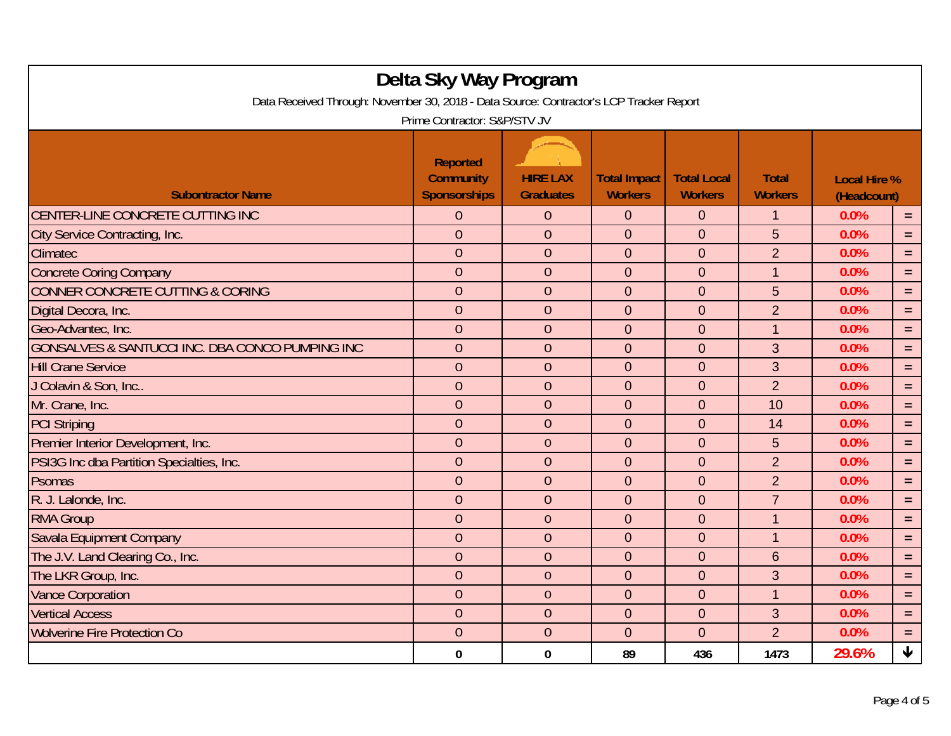| Delta Sky Way Program<br>Data Received Through: November 30, 2018 - Data Source: Contractor's LCP Tracker Report |                                                            |                                     |                                       |                                      |                                |                                    |                    |  |
|------------------------------------------------------------------------------------------------------------------|------------------------------------------------------------|-------------------------------------|---------------------------------------|--------------------------------------|--------------------------------|------------------------------------|--------------------|--|
| Prime Contractor: S&P/STV JV                                                                                     |                                                            |                                     |                                       |                                      |                                |                                    |                    |  |
| <b>Subontractor Name</b>                                                                                         | <b>Reported</b><br><b>Community</b><br><b>Sponsorships</b> | <b>HIRE LAX</b><br><b>Graduates</b> | <b>Total Impact</b><br><b>Workers</b> | <b>Total Local</b><br><b>Workers</b> | <b>Total</b><br><b>Workers</b> | <b>Local Hire %</b><br>(Headcount) |                    |  |
| CENTER-LINE CONCRETE CUTTING INC                                                                                 | $\overline{0}$                                             | $\theta$                            | $\mathbf{0}$                          | $\mathbf{0}$                         | $\mathbf 1$                    | 0.0%                               | $=$ .              |  |
| City Service Contracting, Inc.                                                                                   | $\overline{0}$                                             | $\overline{0}$                      | $\Omega$                              | $\Omega$                             | 5                              | 0.0%                               | $=$                |  |
| Climatec                                                                                                         | $\overline{0}$                                             | $\overline{0}$                      | $\overline{0}$                        | $\overline{0}$                       | $\overline{2}$                 | 0.0%                               | $=$                |  |
| <b>Concrete Coring Company</b>                                                                                   | $\overline{0}$                                             | $\theta$                            | $\mathbf 0$                           | $\mathbf 0$                          | $\mathbf{1}$                   | 0.0%                               | $=$                |  |
| <b>CONNER CONCRETE CUTTING &amp; CORING</b>                                                                      | $\overline{0}$                                             | $\overline{0}$                      | $\mathbf 0$                           | $\mathbf 0$                          | 5                              | 0.0%                               | $=$                |  |
| Digital Decora, Inc.                                                                                             | $\overline{0}$                                             | $\overline{0}$                      | $\overline{0}$                        | $\overline{0}$                       | $\overline{2}$                 | 0.0%                               | $=$                |  |
| Geo-Advantec, Inc.                                                                                               | $\overline{0}$                                             | $\theta$                            | $\overline{0}$                        | $\mathbf 0$                          | 1                              | 0.0%                               | $=$                |  |
| GONSALVES & SANTUCCI INC. DBA CONCO PUMPING INC                                                                  | $\overline{0}$                                             | $\overline{0}$                      | $\overline{0}$                        | $\mathbf 0$                          | 3                              | 0.0%                               | $=$                |  |
| <b>Hill Crane Service</b>                                                                                        | $\overline{0}$                                             | $\overline{0}$                      | $\overline{0}$                        | $\overline{0}$                       | 3                              | 0.0%                               | $=$                |  |
| J Colavin & Son, Inc                                                                                             | $\overline{0}$                                             | $\theta$                            | $\mathbf 0$                           | $\mathbf 0$                          | $\overline{2}$                 | 0.0%                               | $=$                |  |
| Mr. Crane, Inc.                                                                                                  | $\overline{0}$                                             | $\overline{0}$                      | $\mathbf 0$                           | $\mathbf 0$                          | 10                             | 0.0%                               | $=$                |  |
| <b>PCI Striping</b>                                                                                              | $\overline{0}$                                             | $\overline{0}$                      | $\overline{0}$                        | $\overline{0}$                       | 14                             | 0.0%                               | $=$                |  |
| Premier Interior Development, Inc.                                                                               | $\overline{0}$                                             | $\overline{0}$                      | $\overline{0}$                        | $\mathbf 0$                          | 5                              | 0.0%                               | $=$                |  |
| PSI3G Inc dba Partition Specialties, Inc.                                                                        | $\overline{0}$                                             | $\theta$                            | $\mathbf 0$                           | $\overline{0}$                       | $\overline{2}$                 | 0.0%                               | $=$                |  |
| Psomas                                                                                                           | $\overline{0}$                                             | $\overline{0}$                      | $\mathbf 0$                           | $\mathbf{0}$                         | $\overline{2}$                 | 0.0%                               | $=$                |  |
| R. J. Lalonde, Inc.                                                                                              | $\theta$                                                   | $\theta$                            | $\mathbf 0$                           | $\mathbf 0$                          | $\overline{7}$                 | 0.0%                               | $=$                |  |
| <b>RMA Group</b>                                                                                                 | $\theta$                                                   | $\theta$                            | $\mathbf 0$                           | $\overline{0}$                       | $\mathbf{1}$                   | 0.0%                               | $=$                |  |
| Savala Equipment Company                                                                                         | $\overline{0}$                                             | $\overline{0}$                      | $\overline{0}$                        | $\mathbf 0$                          | $\mathbf 1$                    | 0.0%                               | $=$                |  |
| The J.V. Land Clearing Co., Inc.                                                                                 | $\overline{0}$                                             | $\overline{0}$                      | $\mathbf 0$                           | $\mathbf 0$                          | $6\phantom{1}6$                | 0.0%                               | $=$                |  |
| The LKR Group, Inc.                                                                                              | $\theta$                                                   | $\theta$                            | $\overline{0}$                        | $\overline{0}$                       | 3                              | 0.0%                               | $=$                |  |
| <b>Vance Corporation</b>                                                                                         | $\overline{0}$                                             | $\overline{0}$                      | $\overline{0}$                        | $\mathbf 0$                          | $\mathbf 1$                    | 0.0%                               | $\equiv$           |  |
| <b>Vertical Access</b>                                                                                           | $\overline{0}$                                             | $\overline{0}$                      | $\mathbf 0$                           | $\mathbf 0$                          | 3                              | 0.0%                               | $=$                |  |
| <b>Wolverine Fire Protection Co</b>                                                                              | $\theta$                                                   | $\theta$                            | $\mathbf 0$                           | $\overline{0}$                       | $\overline{2}$                 | 0.0%                               | $=$                |  |
|                                                                                                                  | 0                                                          | $\bf{0}$                            | 89                                    | 436                                  | 1473                           | 29.6%                              | $\bigtriangledown$ |  |